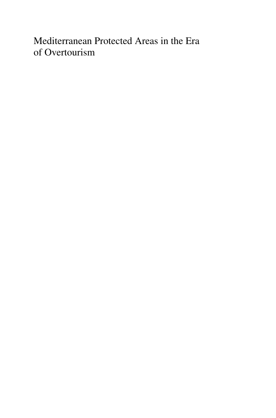Mediterranean Protected Areas in the Era of Overtourism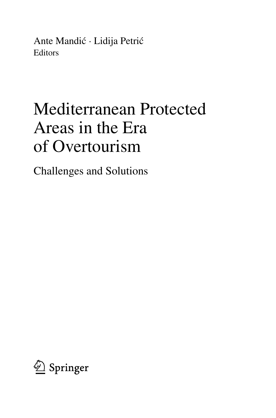Ante Mandić · Lidija Petrić **Editors** 

# Mediterranean Protected Areas in the Era of Overtourism

Challenges and Solutions

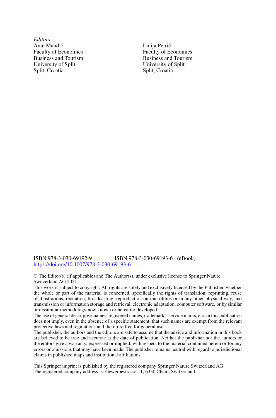*Editors* Ante Mandić Faculty of Economics Business and Tourism University of Split Split, Croatia

Lidija Petrić Faculty of Economics Business and Tourism University of Split Split, Croatia

#### ISBN 978-3-030-69192-9 ISBN 978-3-030-69193-6 (eBook) <https://doi.org/10.1007/978-3-030-69193-6>

© The Editor(s) (if applicable) and The Author(s), under exclusive license to Springer Nature Switzerland AG 2021

This work is subject to copyright. All rights are solely and exclusively licensed by the Publisher, whether the whole or part of the material is concerned, specifically the rights of translation, reprinting, reuse of illustrations, recitation, broadcasting, reproduction on microfilms or in any other physical way, and transmission or information storage and retrieval, electronic adaptation, computer software, or by similar or dissimilar methodology now known or hereafter developed.

The use of general descriptive names, registered names, trademarks, service marks, etc. in this publication does not imply, even in the absence of a specific statement, that such names are exempt from the relevant protective laws and regulations and therefore free for general use.

The publisher, the authors and the editors are safe to assume that the advice and information in this book are believed to be true and accurate at the date of publication. Neither the publisher nor the authors or the editors give a warranty, expressed or implied, with respect to the material contained herein or for any errors or omissions that may have been made. The publisher remains neutral with regard to jurisdictional claims in published maps and institutional affiliations.

This Springer imprint is published by the registered company Springer Nature Switzerland AG The registered company address is: Gewerbestrasse 11, 6330 Cham, Switzerland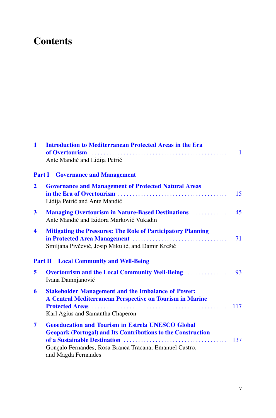# **Contents**

| $\mathbf{1}$         | <b>Introduction to Mediterranean Protected Areas in the Era</b><br>Ante Mandić and Lidija Petrić                                                                                                                  | $\mathbf{1}$ |
|----------------------|-------------------------------------------------------------------------------------------------------------------------------------------------------------------------------------------------------------------|--------------|
|                      | <b>Part I</b> Governance and Management                                                                                                                                                                           |              |
| $\overline{2}$       | <b>Governance and Management of Protected Natural Areas</b><br>Lidija Petrić and Ante Mandić                                                                                                                      | 15           |
| 3                    | <b>Managing Overtourism in Nature-Based Destinations Managing Overtourism in Nature-Based Destinations</b><br>Ante Mandić and Izidora Marković Vukadin                                                            | 45           |
| $\blacktriangleleft$ | <b>Mitigating the Pressures: The Role of Participatory Planning</b><br>Smiljana Pivčević, Josip Mikulić, and Damir Krešić                                                                                         | 71           |
|                      | <b>Part II</b> Local Community and Well-Being                                                                                                                                                                     |              |
| 5                    | <b>Overtourism and the Local Community Well-Being </b><br>Ivana Damnjanović                                                                                                                                       | 93           |
| 6                    | <b>Stakeholder Management and the Imbalance of Power:</b><br>A Central Mediterranean Perspective on Tourism in Marine<br>Karl Agius and Samantha Chaperon                                                         | 117          |
| 7                    | <b>Geoeducation and Tourism in Estrela UNESCO Global</b><br><b>Geopark (Portugal) and Its Contributions to the Construction</b><br>Gonçalo Fernandes, Rosa Branca Tracana, Emanuel Castro,<br>and Magda Fernandes | 137          |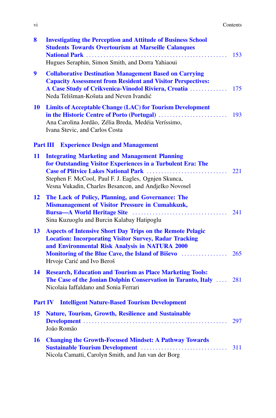| V1 | Contents |
|----|----------|
|    | .        |

| 8  | <b>Investigating the Perception and Attitude of Business School</b><br><b>Students Towards Overtourism at Marseille Calanques</b><br>Hugues Seraphin, Simon Smith, and Dorra Yahiaoui                                                | 153 |
|----|--------------------------------------------------------------------------------------------------------------------------------------------------------------------------------------------------------------------------------------|-----|
| 9  | <b>Collaborative Destination Management Based on Carrying</b><br><b>Capacity Assessment from Resident and Visitor Perspectives:</b><br>A Case Study of Crikvenica-Vinodol Riviera, Croatia<br>Neda Telišman-Košuta and Neven Ivandić | 175 |
| 10 | <b>Limits of Acceptable Change (LAC) for Tourism Development</b><br>Ana Carolina Jordão, Zélia Breda, Medéia Veríssimo,<br>Ivana Stevic, and Carlos Costa                                                                            | 193 |
|    | <b>Experience Design and Management</b><br><b>Part III</b>                                                                                                                                                                           |     |
| 11 | <b>Integrating Marketing and Management Planning</b><br>for Outstanding Visitor Experiences in a Turbulent Era: The<br>Stephen F. McCool, Paul F. J. Eagles, Ognjen Skunca,<br>Vesna Vukadin, Charles Besancon, and Andjelko Novosel | 221 |
| 12 | The Lack of Policy, Planning, and Governance: The<br><b>Mismanagement of Visitor Pressure in Cumalikizik,</b><br>Sina Kuzuoglu and Burcin Kalabay Hatipoglu                                                                          | 241 |
| 13 | <b>Aspects of Intensive Short Day Trips on the Remote Pelagic</b><br><b>Location: Incorporating Visitor Survey, Radar Tracking</b><br>and Environmental Risk Analysis in NATURA 2000<br>Hrvoje Carić and Ivo Beroš                   |     |
| 14 | <b>Research, Education and Tourism as Place Marketing Tools:</b><br>The Case of the Jonian Dolphin Conservation in Taranto, Italy  281<br>Nicolaia Iaffaldano and Sonia Ferrari                                                      |     |
|    | <b>Intelligent Nature-Based Tourism Development</b><br><b>Part IV</b>                                                                                                                                                                |     |
| 15 | <b>Nature, Tourism, Growth, Resilience and Sustainable</b><br>João Romão                                                                                                                                                             | 297 |
| 16 | <b>Changing the Growth-Focused Mindset: A Pathway Towards</b><br>Nicola Camatti, Carolyn Smith, and Jan van der Borg                                                                                                                 | 311 |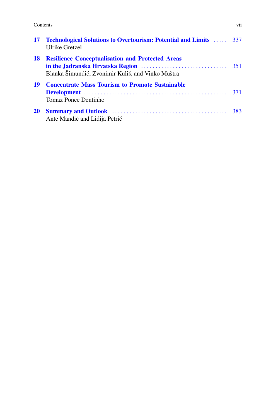#### **Contents** vii

|           | <b>17 Technological Solutions to Overtourism: Potential and Limits  337</b><br>Ulrike Gretzel                |  |
|-----------|--------------------------------------------------------------------------------------------------------------|--|
| 18        | <b>Resilience Conceptualisation and Protected Areas</b><br>Blanka Šimundić, Zvonimir Kuliš, and Vinko Muštra |  |
| 19        | <b>Concentrate Mass Tourism to Promote Sustainable</b><br><b>Tomaz Ponce Dentinho</b>                        |  |
| <b>20</b> | Ante Mandić and Lidija Petrić                                                                                |  |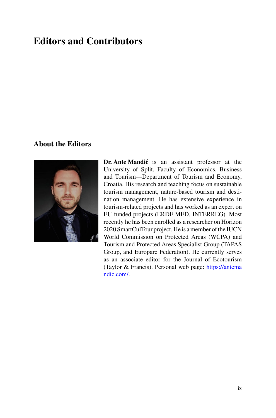## **Editors and Contributors**

## **About the Editors**



**Dr. Ante Mandić** is an assistant professor at the University of Split, Faculty of Economics, Business and Tourism—Department of Tourism and Economy, Croatia. His research and teaching focus on sustainable tourism management, nature-based tourism and destination management. He has extensive experience in tourism-related projects and has worked as an expert on EU funded projects (ERDF MED, INTERREG). Most recently he has been enrolled as a researcher on Horizon 2020 SmartCulTour project. He is a member of the IUCN World Commission on Protected Areas (WCPA) and Tourism and Protected Areas Specialist Group (TAPAS Group, and Europarc Federation). He currently serves as an associate editor for the Journal of Ecotourism [\(Taylor & Francis\). Personal web page:](https://antemandic.com/) https://antema ndic.com/.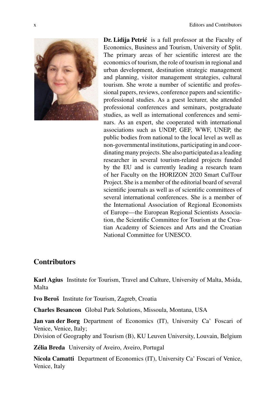

**Dr. Lidija Petrić** is a full professor at the Faculty of Economics, Business and Tourism, University of Split. The primary areas of her scientific interest are the economics of tourism, the role of tourism in regional and urban development, destination strategic management and planning, visitor management strategies, cultural tourism. She wrote a number of scientific and professional papers, reviews, conference papers and scientificprofessional studies. As a guest lecturer, she attended professional conferences and seminars, postgraduate studies, as well as international conferences and seminars. As an expert, she cooperated with international associations such as UNDP, GEF, WWF, UNEP, the public bodies from national to the local level as well as non-governmental institutions, participating in and coordinating many projects. She also participated as a leading researcher in several tourism-related projects funded by the EU and is currently leading a research team of her Faculty on the HORIZON 2020 Smart CulTour Project. She is a member of the editorial board of several scientific journals as well as of scientific committees of several international conferences. She is a member of the International Association of Regional Economists of Europe—the European Regional Scientists Association, the Scientific Committee for Tourism at the Croatian Academy of Sciences and Arts and the Croatian National Committee for UNESCO.

### **Contributors**

**Karl Agius** Institute for Tourism, Travel and Culture, University of Malta, Msida, Malta

**Ivo Beroš** Institute for Tourism, Zagreb, Croatia

**Charles Besancon** Global Park Solutions, Missoula, Montana, USA

**Jan van der Borg** Department of Economics (IT), University Ca' Foscari of Venice, Venice, Italy;

Division of Geography and Tourism (B), KU Leuven University, Louvain, Belgium

**Zélia Breda** University of Aveiro, Aveiro, Portugal

**Nicola Camatti** Department of Economics (IT), University Ca' Foscari of Venice, Venice, Italy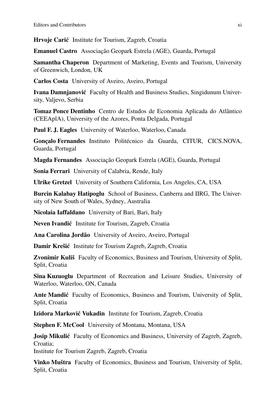**Hrvoje Carić** Institute for Tourism, Zagreb, Croatia

**Emanuel Castro** Associação Geopark Estrela (AGE), Guarda, Portugal

**Samantha Chaperon** Department of Marketing, Events and Tourism, University of Greenwich, London, UK

**Carlos Costa** University of Aveiro, Aveiro, Portugal

**Ivana Damnjanović** Faculty of Health and Business Studies, Singidunum University, Valjevo, Serbia

**Tomaz Ponce Dentinho** Centro de Estudos de Economia Aplicada do Atlântico (CEEAplA), University of the Azores, Ponta Delgada, Portugal

**Paul F. J. Eagles** University of Waterloo, Waterloo, Canada

**Gonçalo Fernandes** Instituto Politécnico da Guarda, CITUR, CICS.NOVA, Guarda, Portugal

**Magda Fernandes** Associação Geopark Estrela (AGE), Guarda, Portugal

**Sonia Ferrari** University of Calabria, Rende, Italy

**Ulrike Gretzel** University of Southern California, Los Angeles, CA, USA

**Burcin Kalabay Hatipoglu** School of Business, Canberra and IIRG, The University of New South of Wales, Sydney, Australia

**Nicolaia Iaffaldano** University of Bari, Bari, Italy

Neven Ivandić Institute for Tourism, Zagreb, Croatia

**Ana Carolina Jordão** University of Aveiro, Aveiro, Portugal

**Damir Krešić** Institute for Tourism Zagreb, Zagreb, Croatia

**Zvonimir Kuliš** Faculty of Economics, Business and Tourism, University of Split, Split, Croatia

**Sina Kuzuoglu** Department of Recreation and Leisure Studies, University of Waterloo, Waterloo, ON, Canada

**Ante Mandić** Faculty of Economics, Business and Tourism, University of Split, Split, Croatia

**Izidora Marković Vukadin** Institute for Tourism, Zagreb, Croatia

**Stephen F. McCool** University of Montana, Montana, USA

**Josip Mikulić** Faculty of Economics and Business, University of Zagreb, Zagreb, Croatia;

Institute for Tourism Zagreb, Zagreb, Croatia

**Vinko Muštra** Faculty of Economics, Business and Tourism, University of Split, Split, Croatia